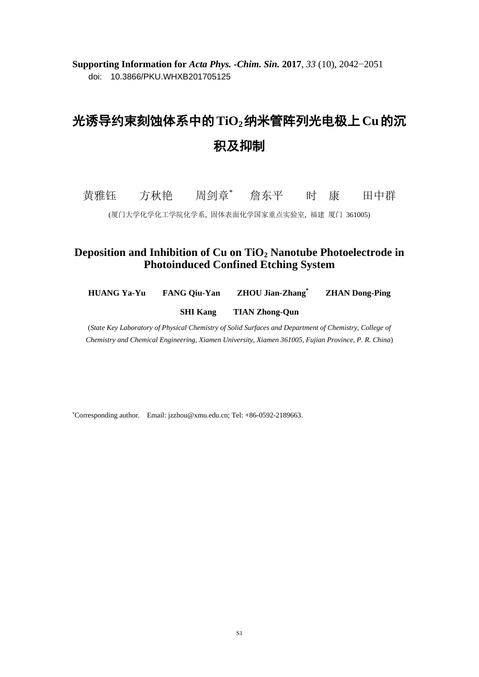**Supporting Information for** *Acta Phys. -Chim. Sin.* **2017**, *33* (10), 2042−2051 doi: 10.3866/PKU.WHXB201705125

## 光诱导约束刻蚀体系中的**TiO2**纳米管阵列光电极上**Cu**的沉 积及抑制

黄雅钰 方秋艳 周剑章\* 詹东平 时 康 田中群

(厦门大学化学化工学院化学系, 固体表面化学国家重点实验室, 福建 厦门 361005)

## **Deposition and Inhibition of Cu on TiO<sup>2</sup> Nanotube Photoelectrode in Photoinduced Confined Etching System**

**HUANG Ya-Yu FANG Qiu-Yan ZHOU Jian-Zhang\* ZHAN Dong-Ping**

**SHI Kang TIAN Zhong-Qun**

(*State Key Laboratory of Physical Chemistry of Solid Surfaces and Department of Chemistry, College of Chemistry and Chemical Engineering, Xiamen University, Xiamen 361005, Fujian Province, P. R. China*)

<sup>∗</sup>Corresponding author. Email: jzzhou@xmu.edu.cn; Tel: +86-0592-2189663.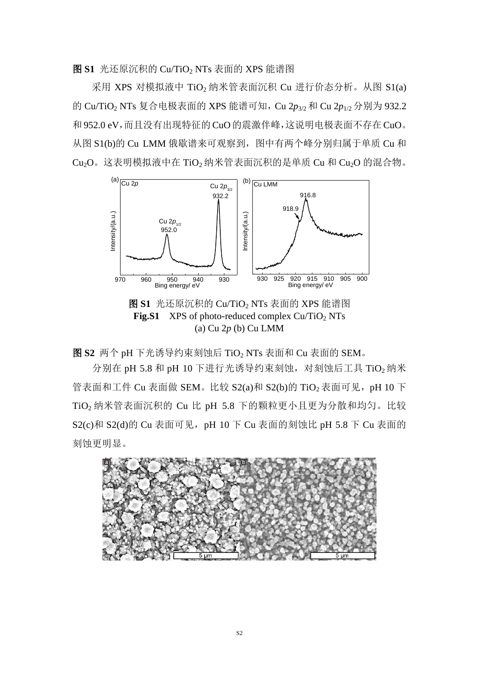图 **S1** 光还原沉积的 Cu/TiO<sup>2</sup> NTs 表面的 XPS 能谱图

 $R$ 用 XPS 对模拟液中 TiO<sub>2</sub> 纳米管表面沉积 Cu 进行价态分析。从图 S1(a) 的 Cu/TiO<sup>2</sup> NTs 复合电极表面的 XPS 能谱可知,Cu 2*p*3/2 和 Cu 2*p*1/2 分别为 932.2 和952.0 eV,而且没有出现特征的CuO的震激伴峰,这说明电极表面不存在 CuO。 从图 S1(b)的 Cu LMM 俄歇谱来可观察到, 图中有两个峰分别归属于单质 Cu 和  $Cu<sub>2</sub>O<sub>0</sub>$  这表明模拟液中在 TiO<sub>2</sub> 纳米管表面沉积的是单质 Cu 和 Cu<sub>2</sub>O 的混合物。



图 **S1** 光还原沉积的 Cu/TiO<sup>2</sup> NTs 表面的 XPS 能谱图 **Fig.S1** XPS of photo-reduced complex Cu/TiO<sub>2</sub> NTs (a) Cu 2*p* (b) Cu LMM

图 **S2** 两个 pH 下光诱导约束刻蚀后 TiO<sup>2</sup> NTs 表面和 Cu 表面的 SEM。

分别在 pH 5.8 和 pH 10 下进行光诱导约束刻蚀, 对刻蚀后工具 TiO<sub>2</sub> 纳米 管表面和工件 Cu 表面做 SEM。比较 S2(a)和 S2(b)的 TiO<sub>2</sub> 表面可见, pH 10 下 TiO<sup>2</sup> 纳米管表面沉积的 Cu 比 pH 5.8 下的颗粒更小且更为分散和均匀。比较 S2(c)和 S2(d)的 Cu 表面可见, pH 10 下 Cu 表面的刻蚀比 pH 5.8 下 Cu 表面的 刻蚀更明显。

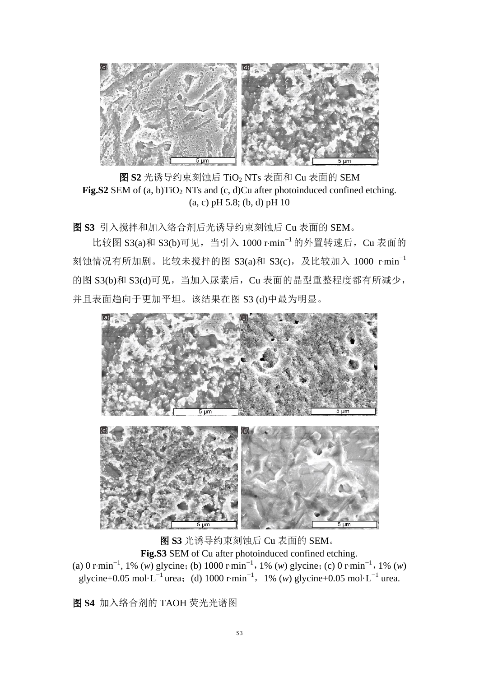

图 **S2** 光诱导约束刻蚀后 TiO<sup>2</sup> NTs 表面和 Cu 表面的 SEM **Fig.S2** SEM of (a, b)TiO<sub>2</sub> NTs and (c, d)Cu after photoinduced confined etching. (a, c) pH 5.8; (b, d) pH 10

图 **S3** 引入搅拌和加入络合剂后光诱导约束刻蚀后 Cu 表面的 SEM。

比较图 S3(a)和 S3(b)可见,当引入 1000 r∙min−1 的外置转速后,Cu 表面的  $\frac{1}{2}$ 刻蚀情况有所加剧。比较未搅拌的图 S3(a)和 S3(c), 及比较加入 1000 r·min<sup>-1</sup> 的图 S3(b)和 S3(d)可见,当加入尿素后,Cu 表面的晶型重整程度都有所减少, 并且表面趋向于更加平坦。该结果在图 S3 (d)中最为明显。



图 **S3** 光诱导约束刻蚀后 Cu 表面的 SEM。 **Fig.S3** SEM of Cu after photoinduced confined etching. (a) 0 r∙min−1 , 1% (*w*) glycine;(b) 1000 r∙min−1,1% (*w*) glycine;(c) 0 r∙min−1,1% (*w*) glycine+0.05 mol L<sup>-1</sup> urea; (d) 1000 r⋅min<sup>-1</sup>, 1% (*w*) glycine+0.05 mol L<sup>-1</sup> urea.

图 **S4** 加入络合剂的 TAOH 荧光光谱图